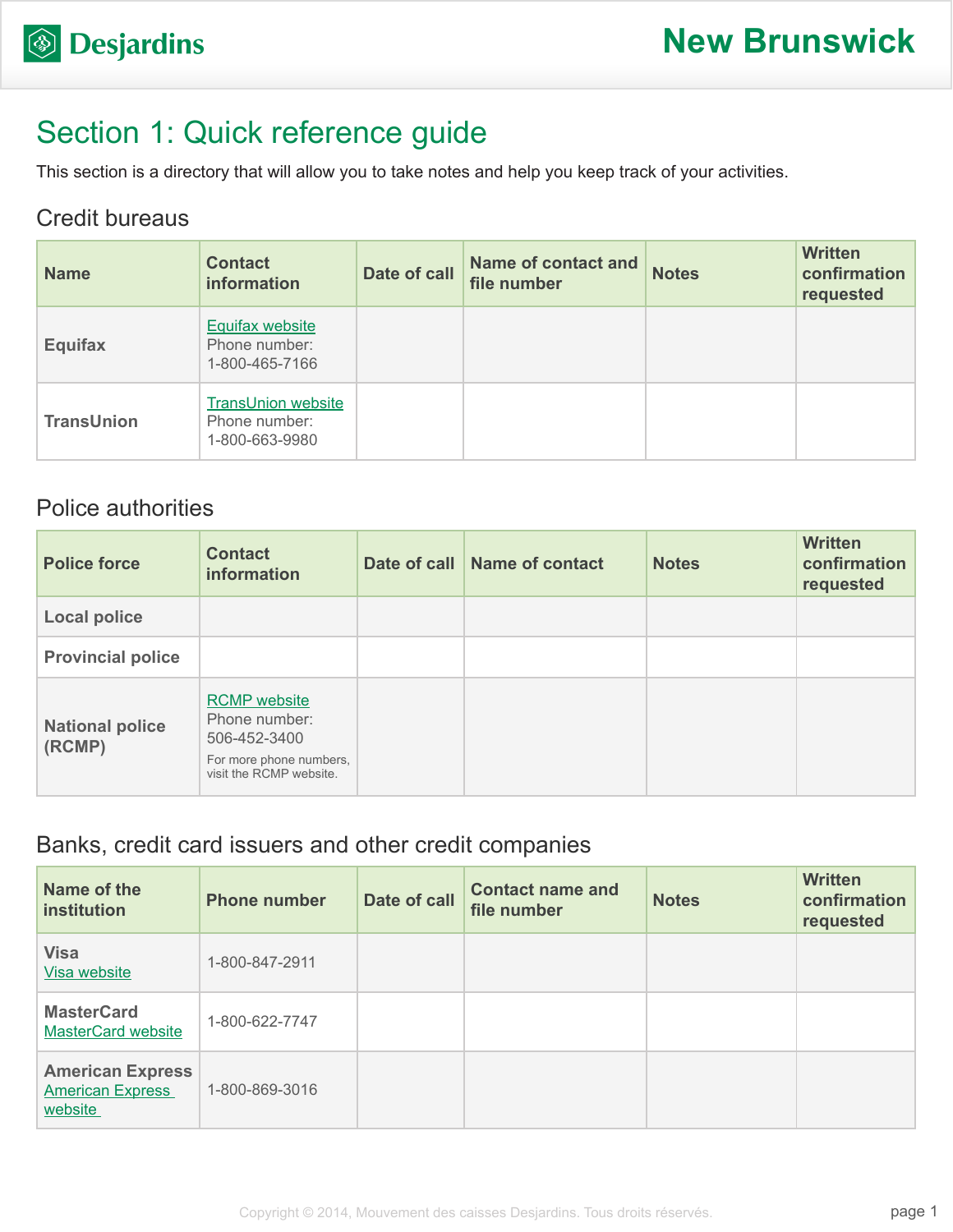# Section 1: Quick reference guide

This section is a directory that will allow you to take notes and help you keep track of your activities.

### Credit bureaus

| <b>Name</b>       | <b>Contact</b><br><b>information</b>                         | Date of call | <b>Name of contact and</b><br>file number | <b>Notes</b> | <b>Written</b><br>confirmation<br>requested |
|-------------------|--------------------------------------------------------------|--------------|-------------------------------------------|--------------|---------------------------------------------|
| <b>Equifax</b>    | <b>Equifax website</b><br>Phone number:<br>1-800-465-7166    |              |                                           |              |                                             |
| <b>TransUnion</b> | <b>TransUnion website</b><br>Phone number:<br>1-800-663-9980 |              |                                           |              |                                             |

## Police authorities

| <b>Police force</b>              | <b>Contact</b><br><b>information</b>                                                                       | Date of call Name of contact | <b>Notes</b> | <b>Written</b><br>confirmation<br>requested |
|----------------------------------|------------------------------------------------------------------------------------------------------------|------------------------------|--------------|---------------------------------------------|
| <b>Local police</b>              |                                                                                                            |                              |              |                                             |
| <b>Provincial police</b>         |                                                                                                            |                              |              |                                             |
| <b>National police</b><br>(RCMP) | <b>RCMP</b> website<br>Phone number:<br>506-452-3400<br>For more phone numbers,<br>visit the RCMP website. |                              |              |                                             |

### Banks, credit card issuers and other credit companies

| Name of the<br>institution                                    | <b>Phone number</b> | Date of call | <b>Contact name and</b><br>file number | <b>Notes</b> | <b>Written</b><br>confirmation<br>requested |
|---------------------------------------------------------------|---------------------|--------------|----------------------------------------|--------------|---------------------------------------------|
| <b>Visa</b><br>Visa website                                   | 1-800-847-2911      |              |                                        |              |                                             |
| <b>MasterCard</b><br><b>MasterCard website</b>                | 1-800-622-7747      |              |                                        |              |                                             |
| <b>American Express</b><br><b>American Express</b><br>website | 1-800-869-3016      |              |                                        |              |                                             |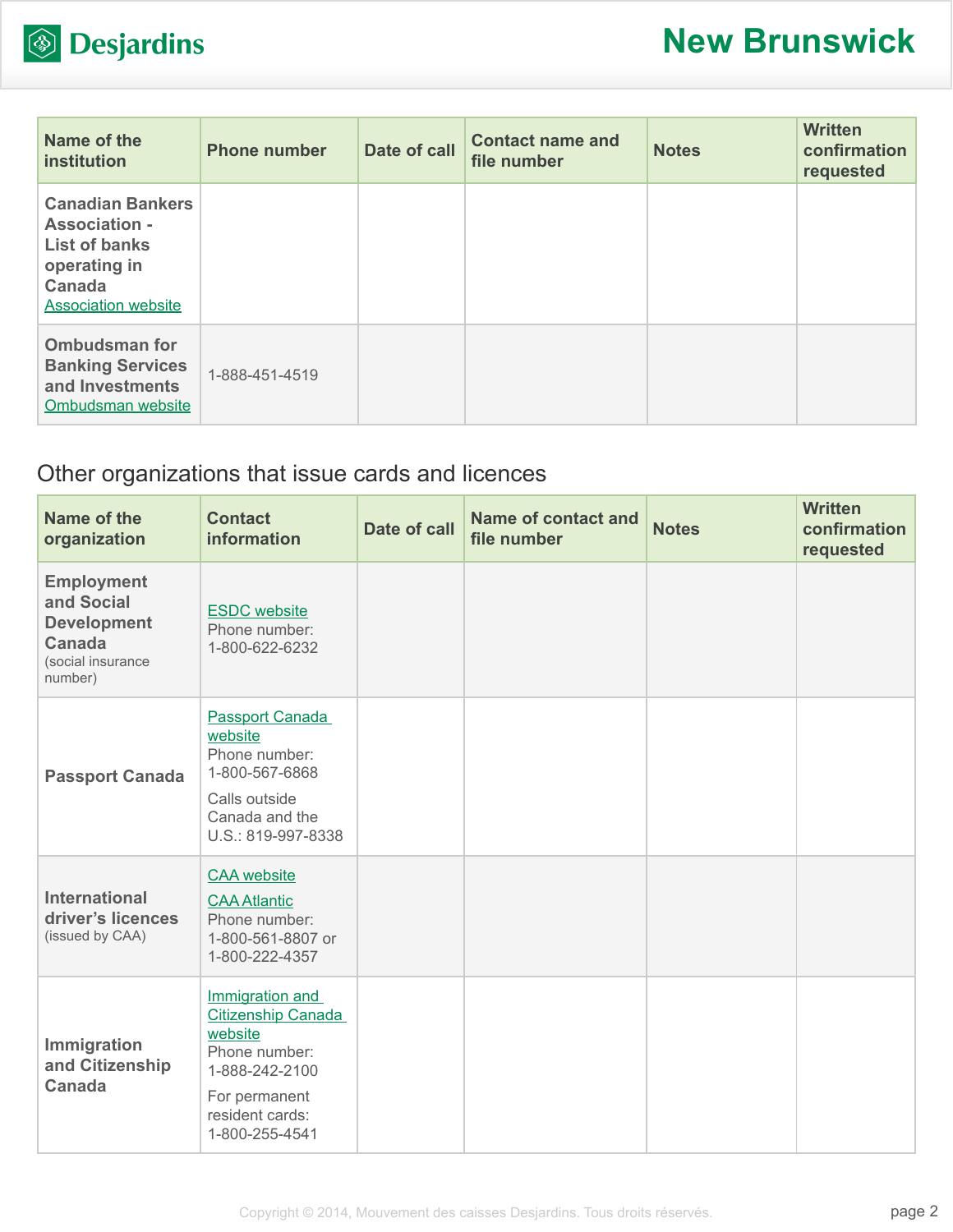

| Name of the<br>institution                                                                                                      | <b>Phone number</b> | Date of call | <b>Contact name and</b><br>file number | <b>Notes</b> | <b>Written</b><br>confirmation<br>requested |
|---------------------------------------------------------------------------------------------------------------------------------|---------------------|--------------|----------------------------------------|--------------|---------------------------------------------|
| <b>Canadian Bankers</b><br><b>Association -</b><br><b>List of banks</b><br>operating in<br>Canada<br><b>Association website</b> |                     |              |                                        |              |                                             |
| <b>Ombudsman for</b><br><b>Banking Services</b><br>and Investments<br>Ombudsman website                                         | 1-888-451-4519      |              |                                        |              |                                             |

## Other organizations that issue cards and licences

| Name of the<br>organization                                                                     | <b>Contact</b><br><b>information</b>                                                                                                      | <b>Date of call</b> | Name of contact and<br>file number | <b>Notes</b> | <b>Written</b><br>confirmation<br>requested |
|-------------------------------------------------------------------------------------------------|-------------------------------------------------------------------------------------------------------------------------------------------|---------------------|------------------------------------|--------------|---------------------------------------------|
| <b>Employment</b><br>and Social<br><b>Development</b><br>Canada<br>(social insurance<br>number) | <b>ESDC</b> website<br>Phone number:<br>1-800-622-6232                                                                                    |                     |                                    |              |                                             |
| <b>Passport Canada</b>                                                                          | Passport Canada<br>website<br>Phone number:<br>1-800-567-6868<br>Calls outside<br>Canada and the<br>U.S.: 819-997-8338                    |                     |                                    |              |                                             |
| <b>International</b><br>driver's licences<br>(issued by CAA)                                    | <b>CAA</b> website<br><b>CAA Atlantic</b><br>Phone number:<br>1-800-561-8807 or<br>1-800-222-4357                                         |                     |                                    |              |                                             |
| Immigration<br>and Citizenship<br><b>Canada</b>                                                 | Immigration and<br>Citizenship Canada<br>website<br>Phone number:<br>1-888-242-2100<br>For permanent<br>resident cards:<br>1-800-255-4541 |                     |                                    |              |                                             |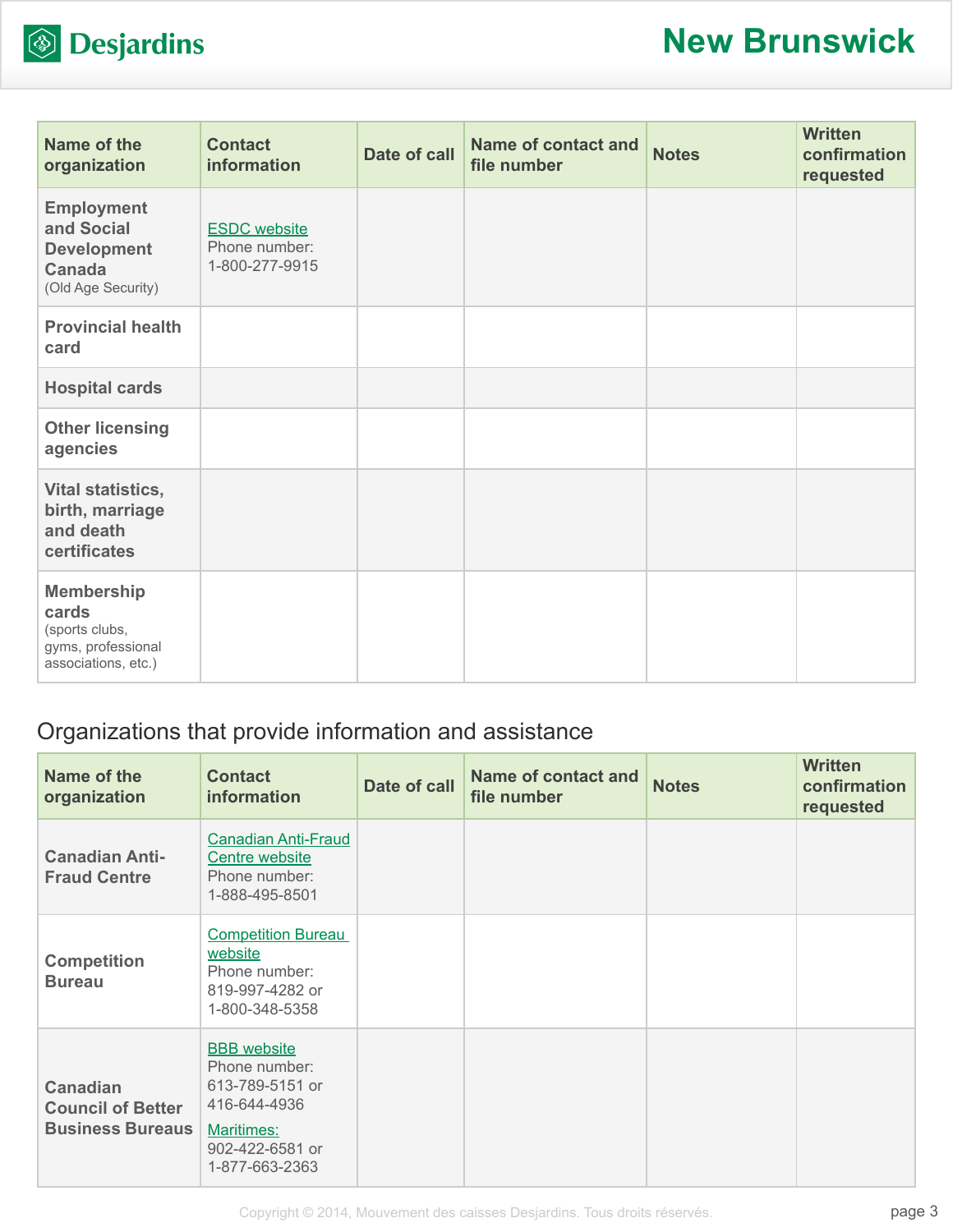

| Name of the<br>organization                                                               | <b>Contact</b><br>information                          | Date of call | <b>Name of contact and</b><br>file number | <b>Notes</b> | <b>Written</b><br>confirmation<br>requested |
|-------------------------------------------------------------------------------------------|--------------------------------------------------------|--------------|-------------------------------------------|--------------|---------------------------------------------|
| <b>Employment</b><br>and Social<br><b>Development</b><br>Canada<br>(Old Age Security)     | <b>ESDC</b> website<br>Phone number:<br>1-800-277-9915 |              |                                           |              |                                             |
| <b>Provincial health</b><br>card                                                          |                                                        |              |                                           |              |                                             |
| <b>Hospital cards</b>                                                                     |                                                        |              |                                           |              |                                             |
| <b>Other licensing</b><br>agencies                                                        |                                                        |              |                                           |              |                                             |
| Vital statistics,<br>birth, marriage<br>and death<br>certificates                         |                                                        |              |                                           |              |                                             |
| <b>Membership</b><br>cards<br>(sports clubs,<br>gyms, professional<br>associations, etc.) |                                                        |              |                                           |              |                                             |

## Organizations that provide information and assistance

| Name of the<br>organization                  | <b>Contact</b><br><b>information</b>                                                       | Date of call | <b>Name of contact and</b><br>file number | <b>Notes</b> | <b>Written</b><br>confirmation<br>requested |
|----------------------------------------------|--------------------------------------------------------------------------------------------|--------------|-------------------------------------------|--------------|---------------------------------------------|
| <b>Canadian Anti-</b><br><b>Fraud Centre</b> | <b>Canadian Anti-Fraud</b><br>Centre website<br>Phone number:<br>1-888-495-8501            |              |                                           |              |                                             |
| <b>Competition</b><br><b>Bureau</b>          | <b>Competition Bureau</b><br>website<br>Phone number:<br>819-997-4282 or<br>1-800-348-5358 |              |                                           |              |                                             |
| <b>Canadian</b><br><b>Council of Better</b>  | <b>BBB</b> website<br>Phone number:<br>613-789-5151 or<br>416-644-4936                     |              |                                           |              |                                             |
| <b>Business Bureaus</b>                      | Maritimes:<br>902-422-6581 or<br>1-877-663-2363                                            |              |                                           |              |                                             |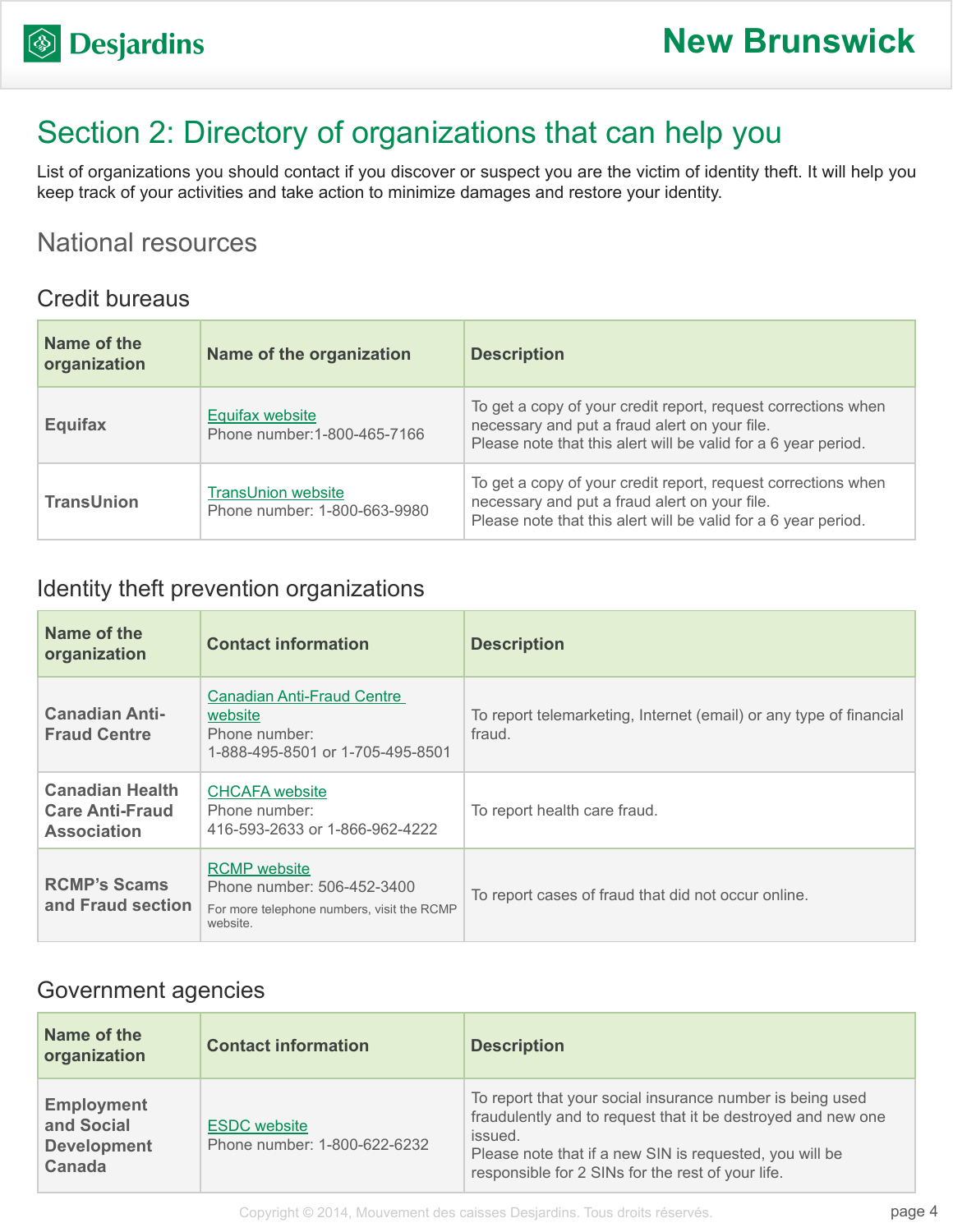# Section 2: Directory of organizations that can help you

List of organizations you should contact if you discover or suspect you are the victim of identity theft. It will help you keep track of your activities and take action to minimize damages and restore your identity.

## National resources

#### Credit bureaus

| Name of the<br>organization | Name of the organization                                  | <b>Description</b>                                                                                                                                                               |
|-----------------------------|-----------------------------------------------------------|----------------------------------------------------------------------------------------------------------------------------------------------------------------------------------|
| <b>Equifax</b>              | Equifax website<br>Phone number: 1-800-465-7166           | To get a copy of your credit report, request corrections when<br>necessary and put a fraud alert on your file.<br>Please note that this alert will be valid for a 6 year period. |
| <b>TransUnion</b>           | <b>TransUnion website</b><br>Phone number: 1-800-663-9980 | To get a copy of your credit report, request corrections when<br>necessary and put a fraud alert on your file.<br>Please note that this alert will be valid for a 6 year period. |

### Identity theft prevention organizations

| Name of the<br>organization                                            | <b>Contact information</b>                                                                                  | <b>Description</b>                                                           |
|------------------------------------------------------------------------|-------------------------------------------------------------------------------------------------------------|------------------------------------------------------------------------------|
| <b>Canadian Anti-</b><br><b>Fraud Centre</b>                           | <b>Canadian Anti-Fraud Centre</b><br>website<br>Phone number:<br>1-888-495-8501 or 1-705-495-8501           | To report telemarketing, Internet (email) or any type of financial<br>fraud. |
| <b>Canadian Health</b><br><b>Care Anti-Fraud</b><br><b>Association</b> | <b>CHCAFA</b> website<br>Phone number:<br>416-593-2633 or 1-866-962-4222                                    | To report health care fraud.                                                 |
| <b>RCMP's Scams</b><br>and Fraud section                               | <b>RCMP</b> website<br>Phone number: 506-452-3400<br>For more telephone numbers, visit the RCMP<br>website. | To report cases of fraud that did not occur online.                          |

#### Government agencies

| Name of the<br>organization                                     | <b>Contact information</b>                          | <b>Description</b>                                                                                                                                                                                                                                   |
|-----------------------------------------------------------------|-----------------------------------------------------|------------------------------------------------------------------------------------------------------------------------------------------------------------------------------------------------------------------------------------------------------|
| <b>Employment</b><br>and Social<br><b>Development</b><br>Canada | <b>ESDC</b> website<br>Phone number: 1-800-622-6232 | To report that your social insurance number is being used<br>fraudulently and to request that it be destroyed and new one<br>issued.<br>Please note that if a new SIN is requested, you will be<br>responsible for 2 SINs for the rest of your life. |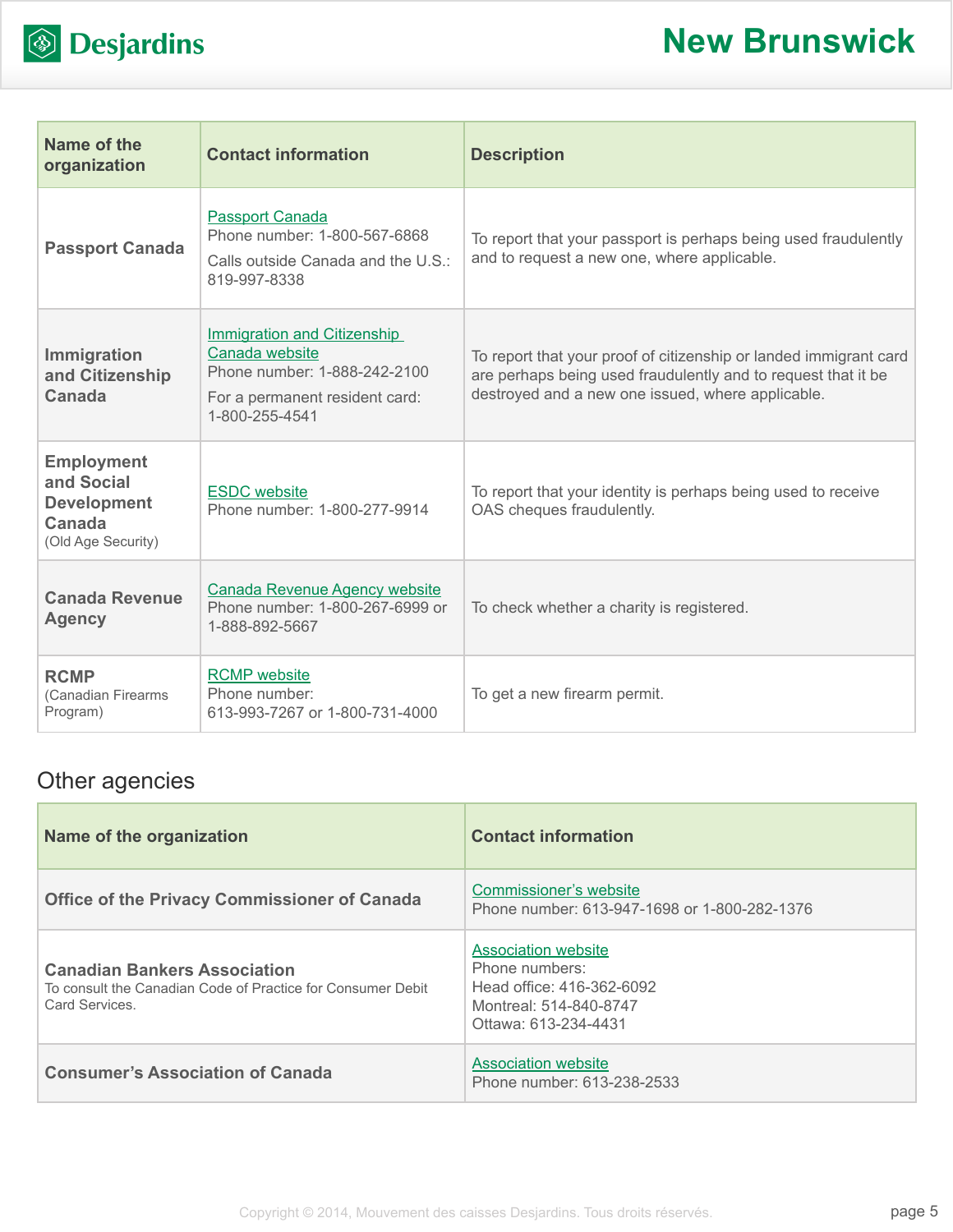

| Name of the<br>organization                                                           | <b>Contact information</b>                                                                                                               | <b>Description</b>                                                                                                                                                                      |
|---------------------------------------------------------------------------------------|------------------------------------------------------------------------------------------------------------------------------------------|-----------------------------------------------------------------------------------------------------------------------------------------------------------------------------------------|
| <b>Passport Canada</b>                                                                | <b>Passport Canada</b><br>Phone number: 1-800-567-6868<br>Calls outside Canada and the U.S.:<br>819-997-8338                             | To report that your passport is perhaps being used fraudulently<br>and to request a new one, where applicable.                                                                          |
| Immigration<br>and Citizenship<br><b>Canada</b>                                       | <b>Immigration and Citizenship</b><br>Canada website<br>Phone number: 1-888-242-2100<br>For a permanent resident card:<br>1-800-255-4541 | To report that your proof of citizenship or landed immigrant card<br>are perhaps being used fraudulently and to request that it be<br>destroyed and a new one issued, where applicable. |
| <b>Employment</b><br>and Social<br><b>Development</b><br>Canada<br>(Old Age Security) | <b>ESDC</b> website<br>Phone number: 1-800-277-9914                                                                                      | To report that your identity is perhaps being used to receive<br>OAS cheques fraudulently.                                                                                              |
| <b>Canada Revenue</b><br><b>Agency</b>                                                | <b>Canada Revenue Agency website</b><br>Phone number: 1-800-267-6999 or<br>1-888-892-5667                                                | To check whether a charity is registered.                                                                                                                                               |
| <b>RCMP</b><br>(Canadian Firearms<br>Program)                                         | <b>RCMP</b> website<br>Phone number:<br>613-993-7267 or 1-800-731-4000                                                                   | To get a new firearm permit.                                                                                                                                                            |

## Other agencies

| Name of the organization                                                                                            | <b>Contact information</b>                                                                                                  |
|---------------------------------------------------------------------------------------------------------------------|-----------------------------------------------------------------------------------------------------------------------------|
| <b>Office of the Privacy Commissioner of Canada</b>                                                                 | Commissioner's website<br>Phone number: 613-947-1698 or 1-800-282-1376                                                      |
| <b>Canadian Bankers Association</b><br>To consult the Canadian Code of Practice for Consumer Debit<br>Card Services | <b>Association website</b><br>Phone numbers:<br>Head office: 416-362-6092<br>Montreal: 514-840-8747<br>Ottawa: 613-234-4431 |
| <b>Consumer's Association of Canada</b>                                                                             | <b>Association website</b><br>Phone number: 613-238-2533                                                                    |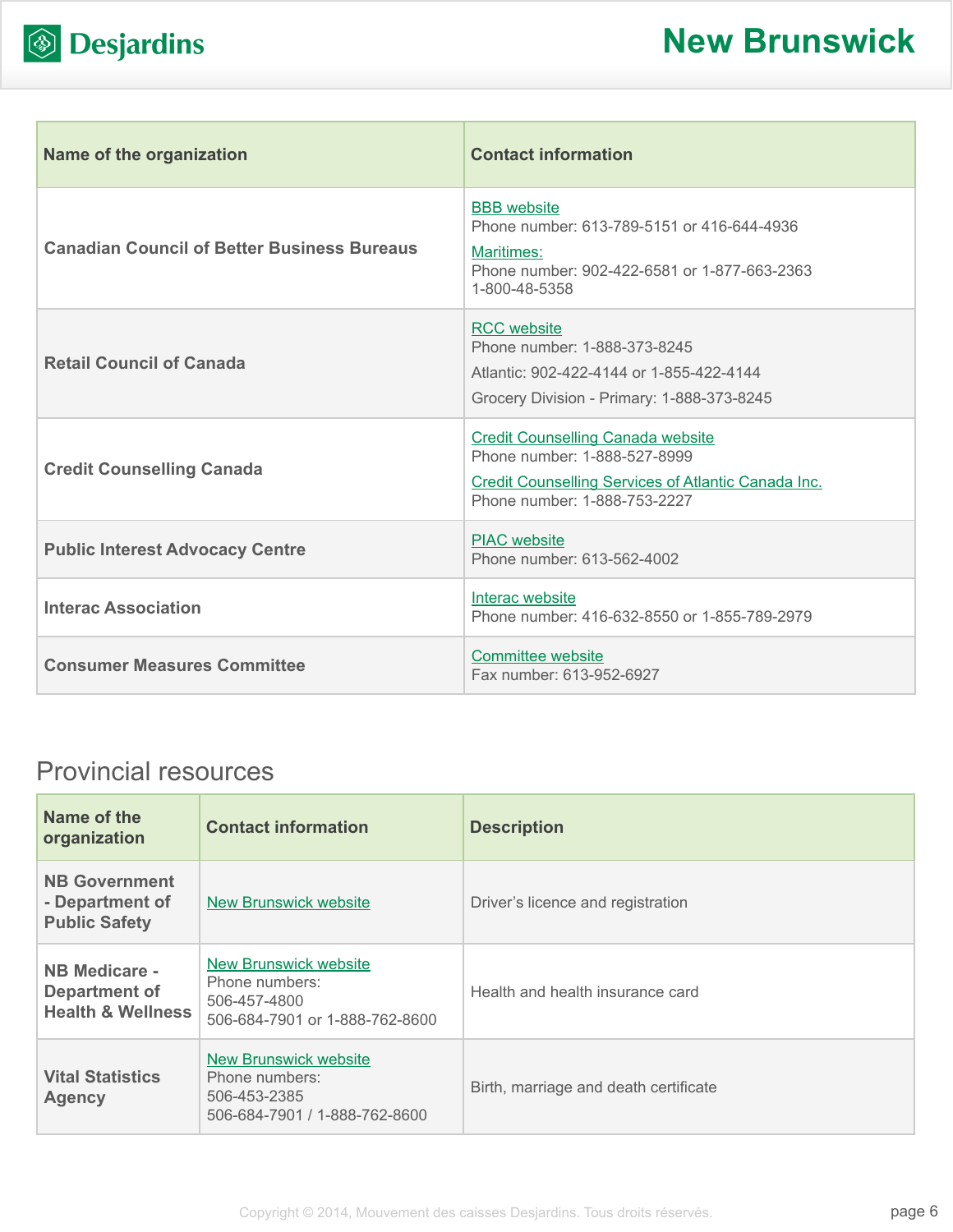

|  | <b>S</b> Desjardins |
|--|---------------------|
|--|---------------------|

| <b>Name of the organization</b>                    | <b>Contact information</b>                                                                                                                                             |
|----------------------------------------------------|------------------------------------------------------------------------------------------------------------------------------------------------------------------------|
| <b>Canadian Council of Better Business Bureaus</b> | <b>BBB</b> website<br>Phone number: 613-789-5151 or 416-644-4936<br>Maritimes:<br>Phone number: 902-422-6581 or 1-877-663-2363<br>1-800-48-5358                        |
| <b>Retail Council of Canada</b>                    | <b>RCC</b> website<br>Phone number: 1-888-373-8245<br>Atlantic: 902-422-4144 or 1-855-422-4144<br>Grocery Division - Primary: 1-888-373-8245                           |
| <b>Credit Counselling Canada</b>                   | <b>Credit Counselling Canada website</b><br>Phone number: 1-888-527-8999<br><b>Credit Counselling Services of Atlantic Canada Inc.</b><br>Phone number: 1-888-753-2227 |
| <b>Public Interest Advocacy Centre</b>             | <b>PIAC</b> website<br>Phone number: 613-562-4002                                                                                                                      |
| <b>Interac Association</b>                         | Interac website<br>Phone number: 416-632-8550 or 1-855-789-2979                                                                                                        |
| <b>Consumer Measures Committee</b>                 | Committee website<br>Fax number: 613-952-6927                                                                                                                          |

## Provincial resources

| Name of the<br>organization                                           | <b>Contact information</b>                                                                       | <b>Description</b>                    |
|-----------------------------------------------------------------------|--------------------------------------------------------------------------------------------------|---------------------------------------|
| <b>NB Government</b><br>- Department of<br><b>Public Safety</b>       | <b>New Brunswick website</b>                                                                     | Driver's licence and registration     |
| <b>NB Medicare -</b><br>Department of<br><b>Health &amp; Wellness</b> | <b>New Brunswick website</b><br>Phone numbers:<br>506-457-4800<br>506-684-7901 or 1-888-762-8600 | Health and health insurance card      |
| <b>Vital Statistics</b><br><b>Agency</b>                              | <b>New Brunswick website</b><br>Phone numbers:<br>506-453-2385<br>506-684-7901 / 1-888-762-8600  | Birth, marriage and death certificate |